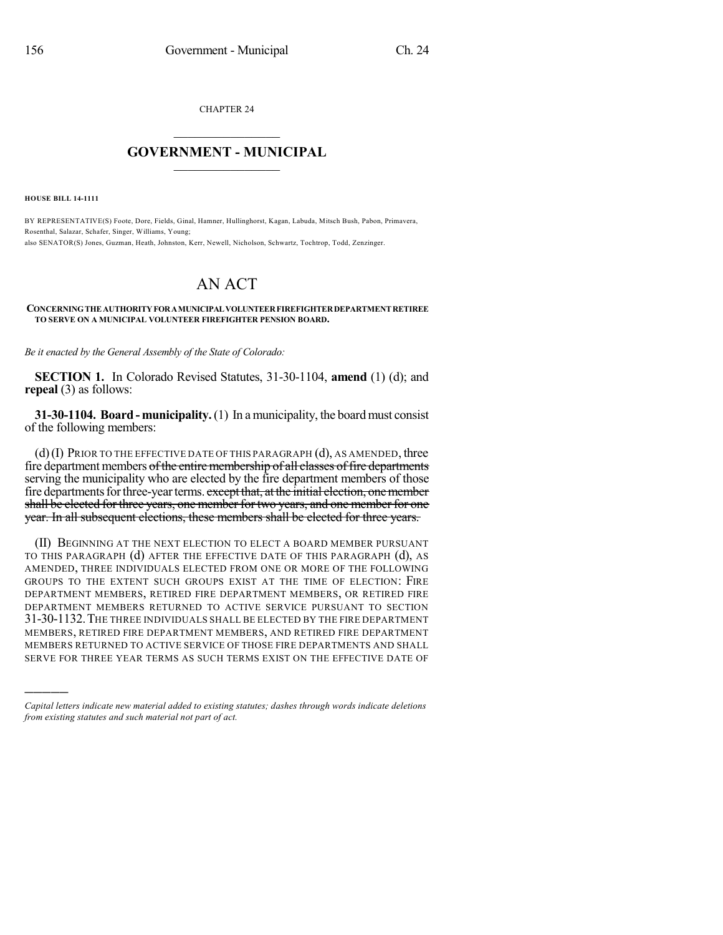CHAPTER 24

## $\mathcal{L}_\text{max}$  . The set of the set of the set of the set of the set of the set of the set of the set of the set of the set of the set of the set of the set of the set of the set of the set of the set of the set of the set **GOVERNMENT - MUNICIPAL**  $\_$

**HOUSE BILL 14-1111**

)))))

BY REPRESENTATIVE(S) Foote, Dore, Fields, Ginal, Hamner, Hullinghorst, Kagan, Labuda, Mitsch Bush, Pabon, Primavera, Rosenthal, Salazar, Schafer, Singer, Williams, Young; also SENATOR(S) Jones, Guzman, Heath, Johnston, Kerr, Newell, Nicholson, Schwartz, Tochtrop, Todd, Zenzinger.

## AN ACT

## **CONCERNINGTHEAUTHORITYFORAMUNICIPALVOLUNTEERFIREFIGHTERDEPARTMENTRETIREE TO SERVE ON A MUNICIPAL VOLUNTEER FIREFIGHTER PENSION BOARD.**

*Be it enacted by the General Assembly of the State of Colorado:*

**SECTION 1.** In Colorado Revised Statutes, 31-30-1104, **amend** (1) (d); and **repeal** (3) as follows:

**31-30-1104. Board - municipality.** (1) In a municipality, the board must consist of the following members:

 $(d)$  (I) Prior to the effective date of this paragraph  $(d)$ , as amended, three fire department members of the entire membership of all classes of fire departments serving the municipality who are elected by the fire department members of those fire departments for three-year terms. except that, at the initial election, one member shall be elected for three years, one member for two years, and one member for one year. In all subsequent elections, these members shall be elected for three years.

(II) BEGINNING AT THE NEXT ELECTION TO ELECT A BOARD MEMBER PURSUANT TO THIS PARAGRAPH (d) AFTER THE EFFECTIVE DATE OF THIS PARAGRAPH (d), AS AMENDED, THREE INDIVIDUALS ELECTED FROM ONE OR MORE OF THE FOLLOWING GROUPS TO THE EXTENT SUCH GROUPS EXIST AT THE TIME OF ELECTION: FIRE DEPARTMENT MEMBERS, RETIRED FIRE DEPARTMENT MEMBERS, OR RETIRED FIRE DEPARTMENT MEMBERS RETURNED TO ACTIVE SERVICE PURSUANT TO SECTION 31-30-1132.THE THREE INDIVIDUALS SHALL BE ELECTED BY THE FIRE DEPARTMENT MEMBERS, RETIRED FIRE DEPARTMENT MEMBERS, AND RETIRED FIRE DEPARTMENT MEMBERS RETURNED TO ACTIVE SERVICE OF THOSE FIRE DEPARTMENTS AND SHALL SERVE FOR THREE YEAR TERMS AS SUCH TERMS EXIST ON THE EFFECTIVE DATE OF

*Capital letters indicate new material added to existing statutes; dashes through words indicate deletions from existing statutes and such material not part of act.*